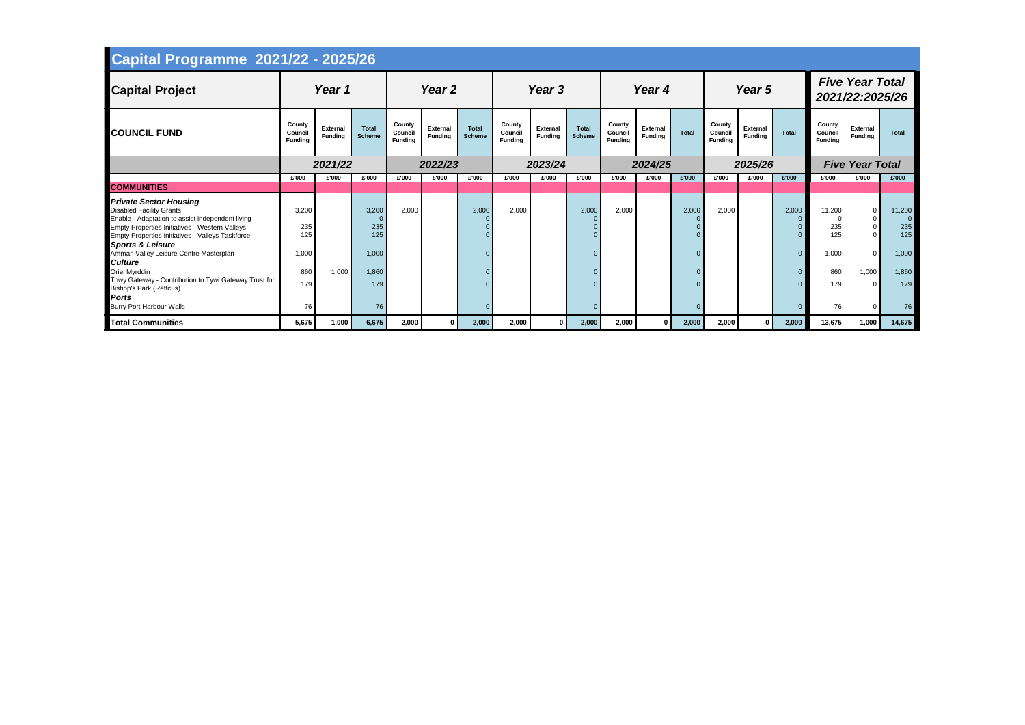| <b>Capital Programme 2021/22 - 2025/26</b>                                                                                                                                                                                                                                                                                                                                                                           |                                     |                                   |                                       |                                     |                                   |                               |                                     |                                   |                               |                                     |                                   |                               |                                     |                                   |                                     |                                      |                                           |                                        |
|----------------------------------------------------------------------------------------------------------------------------------------------------------------------------------------------------------------------------------------------------------------------------------------------------------------------------------------------------------------------------------------------------------------------|-------------------------------------|-----------------------------------|---------------------------------------|-------------------------------------|-----------------------------------|-------------------------------|-------------------------------------|-----------------------------------|-------------------------------|-------------------------------------|-----------------------------------|-------------------------------|-------------------------------------|-----------------------------------|-------------------------------------|--------------------------------------|-------------------------------------------|----------------------------------------|
| <b>Capital Project</b>                                                                                                                                                                                                                                                                                                                                                                                               |                                     | Year 1                            |                                       |                                     | Year 2                            |                               |                                     | Year 3                            |                               |                                     | Year 4                            |                               |                                     | Year 5                            |                                     |                                      | <b>Five Year Total</b><br>2021/22:2025/26 |                                        |
| <b>COUNCIL FUND</b>                                                                                                                                                                                                                                                                                                                                                                                                  | County<br>Council<br><b>Funding</b> | <b>External</b><br><b>Fundina</b> | <b>Total</b><br><b>Scheme</b>         | County<br>Council<br><b>Funding</b> | <b>External</b><br><b>Funding</b> | <b>Total</b><br><b>Scheme</b> | County<br>Council<br><b>Fundina</b> | <b>External</b><br><b>Fundina</b> | <b>Total</b><br><b>Scheme</b> | County<br>Council<br><b>Funding</b> | <b>External</b><br><b>Funding</b> | <b>Total</b>                  | County<br>Council<br><b>Funding</b> | <b>External</b><br><b>Funding</b> | Total                               | County<br>Council<br><b>Fundina</b>  | <b>External</b><br><b>Funding</b>         | <b>Total</b>                           |
|                                                                                                                                                                                                                                                                                                                                                                                                                      |                                     | 2021/22                           |                                       |                                     | 2022/23                           |                               |                                     | 2023/24                           |                               |                                     | 2024/25                           |                               |                                     | 2025/26                           |                                     |                                      | <b>Five Year Total</b>                    |                                        |
|                                                                                                                                                                                                                                                                                                                                                                                                                      | £'000                               | £'000                             | £'000                                 | £'000                               | £'000                             | £'000                         | £'000                               | £'000                             | £'000                         | £'000                               | £'000                             | £'000                         | £'000                               | £'000                             | £'000                               | £'000                                | £'000                                     | £'000                                  |
| <b>COMMUNITIES</b>                                                                                                                                                                                                                                                                                                                                                                                                   |                                     |                                   |                                       |                                     |                                   |                               |                                     |                                   |                               |                                     |                                   |                               |                                     |                                   |                                     |                                      |                                           |                                        |
| <b>Private Sector Housing</b><br><b>Disabled Facility Grants</b><br>Enable - Adaptation to assist independent living<br><b>Empty Properties Initiatives - Western Valleys</b><br><b>Empty Properties Initiatives - Valleys Taskforce</b><br><b>Sports &amp; Leisure</b><br>Amman Valley Leisure Centre Masterplan<br><b>Culture</b><br><b>Oriel Myrddin</b><br>Towy Gateway - Contribution to Tywi Gateway Trust for | 3,200<br>235<br>125<br>1,000<br>860 | 1,000                             | 3,200<br>235<br>125<br>1,000<br>1,860 | 2,000                               |                                   | 2,000                         | 2,000                               |                                   | 2,000<br>- 0                  | 2,000                               |                                   | 2,000<br>$\Omega$<br>$\Omega$ | 2,000                               |                                   | 2,000<br>$\Omega$<br>$\overline{0}$ | 11,200<br>235<br>125<br>1,000<br>860 | $\Omega$<br>$\Omega$<br>$\Omega$<br>1,000 | 11,200<br>235<br>125<br>1,000<br>1,860 |
| <b>Bishop's Park (Reffcus)</b><br><b>Ports</b><br><b>Burry Port Harbour Walls</b>                                                                                                                                                                                                                                                                                                                                    | 179<br>76                           |                                   | 179<br>76                             |                                     |                                   |                               |                                     |                                   |                               |                                     |                                   | $\Omega$                      |                                     |                                   |                                     | 179<br>76                            | $\Omega$                                  | 179<br>76                              |
| <b>Total Communities</b>                                                                                                                                                                                                                                                                                                                                                                                             | 5,675                               | 1,000                             | 6,675                                 | 2,000                               | $\mathbf{0}$                      | 2,000                         | 2,000                               | 0                                 | 2,000                         | 2,000                               | $\mathbf{0}$                      | 2,000                         | 2,000                               | $\Omega$                          | 2,000                               | 13,675                               | 1,000                                     | 14,675                                 |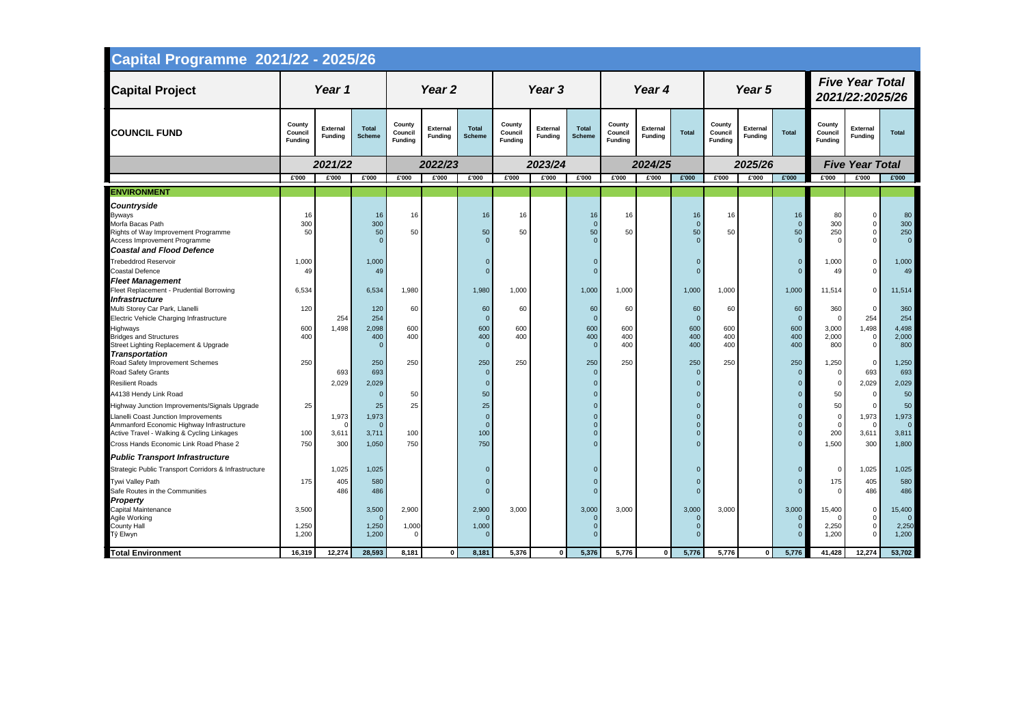| <b>Capital Programme 2021/22 - 2025/26</b>                                                                                                                                       |                                     |                            |                               |                                     |                                   |                               |                                     |                                   |                                    |                                     |                                   |                                           |                                     |                                   |                      |                                      |                                                        |                                        |
|----------------------------------------------------------------------------------------------------------------------------------------------------------------------------------|-------------------------------------|----------------------------|-------------------------------|-------------------------------------|-----------------------------------|-------------------------------|-------------------------------------|-----------------------------------|------------------------------------|-------------------------------------|-----------------------------------|-------------------------------------------|-------------------------------------|-----------------------------------|----------------------|--------------------------------------|--------------------------------------------------------|----------------------------------------|
| <b>Capital Project</b>                                                                                                                                                           |                                     | Year 1                     |                               |                                     | Year <sub>2</sub>                 |                               |                                     | Year <sub>3</sub>                 |                                    |                                     | Year 4                            |                                           |                                     | Year 5                            |                      |                                      | <b>Five Year Total</b><br>2021/22:2025/26              |                                        |
| <b>COUNCIL FUND</b>                                                                                                                                                              | County<br>Council<br><b>Funding</b> | <b>External</b><br>Funding | <b>Total</b><br><b>Scheme</b> | County<br>Council<br><b>Funding</b> | <b>External</b><br><b>Funding</b> | <b>Total</b><br><b>Scheme</b> | County<br>Council<br><b>Funding</b> | <b>External</b><br><b>Funding</b> | <b>Total</b><br><b>Scheme</b>      | County<br>Council<br><b>Funding</b> | <b>External</b><br><b>Funding</b> | <b>Total</b>                              | County<br>Council<br><b>Funding</b> | <b>External</b><br><b>Funding</b> | <b>Total</b>         | County<br>Council<br><b>Funding</b>  | External<br><b>Funding</b>                             | <b>Total</b>                           |
|                                                                                                                                                                                  |                                     | 2021/22                    |                               |                                     | 2022/23                           |                               |                                     | 2023/24                           |                                    |                                     | 2024/25                           |                                           |                                     | 2025/26                           |                      |                                      | <b>Five Year Total</b>                                 |                                        |
|                                                                                                                                                                                  | £'000                               | £'000                      | £'000                         | £'000                               | £'000                             | £'000                         | £'000                               | £'000                             | £'000                              | £'000                               | £'000                             | £'000                                     | £'000                               | £'000                             | £'000                | £'000                                | £'000                                                  | £'000                                  |
| <b>ENVIRONMENT</b>                                                                                                                                                               |                                     |                            |                               |                                     |                                   |                               |                                     |                                   |                                    |                                     |                                   |                                           |                                     |                                   |                      |                                      |                                                        |                                        |
| <b>Countryside</b><br><b>Byways</b><br>Morfa Bacas Path<br>Rights of Way Improvement Programme<br>Access Improvement Programme<br><b>Coastal and Flood Defence</b>               | 16<br>300<br>50                     |                            | 16<br>300<br>50               | 16<br>50                            |                                   | 16<br>50                      | 16<br>50                            |                                   | 16<br>$\Omega$<br>50<br>$\Omega$   | 16<br>50                            |                                   | 16<br>$\overline{0}$<br>50<br>$\Omega$    | 16<br>50                            |                                   | 16<br>$\Omega$<br>50 | 80<br>300<br>250                     | $\mathbf 0$<br>$\mathbf{0}$<br>$\mathbf 0$<br>$\Omega$ | 80<br>300<br>250<br>$\overline{0}$     |
| <b>Trebeddrod Reservoir</b><br><b>Coastal Defence</b><br><b>Fleet Management</b>                                                                                                 | 1,000<br>49                         |                            | 1,000<br>49                   |                                     |                                   |                               |                                     |                                   |                                    |                                     |                                   |                                           |                                     |                                   | $\Omega$             | 1,000<br>49                          | $\mathbf{0}$<br>$\Omega$                               | 1,000<br>49                            |
| Fleet Replacement - Prudential Borrowing<br>Infrastructure<br>Multi Storey Car Park, Llanelli                                                                                    | 6,534<br>120                        |                            | 6,534<br>120                  | 1,980<br>60                         |                                   | 1,980<br>60                   | 1,000<br>60                         |                                   | 1,000<br>60                        | 1,000<br>60                         |                                   | 1,000<br>60                               | 1,000<br>60                         |                                   | 1,000<br>60          | 11,514<br>360                        | $\mathbf 0$<br>$\Omega$                                | 11,514<br>360                          |
| Electric Vehicle Charging Infrastructure<br>Highways<br><b>Bridges and Structures</b><br>Street Lighting Replacement & Upgrade                                                   | 600<br>400                          | 254<br>1,498               | 254<br>2,098<br>400           | 600<br>400                          |                                   | - 0<br>600<br>400             | 600<br>400                          |                                   | $\Omega$<br>600<br>400<br>$\Omega$ | 600<br>400<br>400                   |                                   | $\mathbf{0}$<br>600<br>400<br>400         | 600<br>400<br>400                   |                                   | 600<br>400<br>400    | $\Omega$<br>3,000<br>2,000<br>800    | 254<br>1,498<br>$\mathbf 0$<br>$\mathbf{0}$            | 254<br>4,498<br>2,000<br>800           |
| <b>Transportation</b><br>Road Safety Improvement Schemes<br>Road Safety Grants<br><b>Resilient Roads</b>                                                                         | 250                                 | 693<br>2,029               | 250<br>693<br>2,029           | 250                                 |                                   | 250<br>$\Omega$               | 250                                 |                                   | 250<br>$\mathbf{0}$                | 250                                 |                                   | 250<br>$\overline{0}$<br>$\Omega$         | 250                                 |                                   | 250                  | 1,250<br>$\overline{0}$<br>0         | $\mathbf 0$<br>693<br>2,029                            | 1,250<br>693<br>2,029                  |
| A4138 Hendy Link Road                                                                                                                                                            |                                     |                            |                               | 50                                  |                                   | 50                            |                                     |                                   |                                    |                                     |                                   |                                           |                                     |                                   |                      | 50                                   | $\overline{0}$                                         | 50                                     |
| Highway Junction Improvements/Signals Upgrade<br>Llanelli Coast Junction Improvements<br>Ammanford Economic Highway Infrastructure<br>Active Travel - Walking & Cycling Linkages | 25<br>100                           | 1,973<br>3,611             | 25<br>1,973<br>3,711          | 25<br>100                           |                                   | 25<br>100                     |                                     |                                   |                                    |                                     |                                   | $\Omega$                                  |                                     |                                   |                      | 50<br>$\mathbf 0$<br>200             | $\Omega$<br>1,973<br>$\Omega$<br>3,611                 | 50<br>1,973<br>$\overline{0}$<br>3,811 |
| Cross Hands Economic Link Road Phase 2                                                                                                                                           | 750                                 | 300                        | 1,050                         | 750                                 |                                   | 750                           |                                     |                                   | $\Omega$                           |                                     |                                   | $\Omega$                                  |                                     |                                   | $\overline{0}$       | 1,500                                | 300                                                    | 1,800                                  |
| <b>Public Transport Infrastructure</b>                                                                                                                                           |                                     |                            |                               |                                     |                                   |                               |                                     |                                   |                                    |                                     |                                   |                                           |                                     |                                   |                      |                                      |                                                        |                                        |
| Strategic Public Transport Corridors & Infrastructure<br>Tywi Valley Path<br>Safe Routes in the Communities<br><b>Property</b>                                                   | 175                                 | 1,025<br>405<br>486        | 1,025<br>580<br>486           |                                     |                                   |                               |                                     |                                   | $\Omega$<br>$\Omega$<br>$\Omega$   |                                     |                                   | $\Omega$<br>$\Omega$<br>$\Omega$          |                                     |                                   | $\Omega$             | $\mathbf 0$<br>175<br>$\overline{0}$ | 1,025<br>405<br>486                                    | 1,025<br>580<br>486                    |
| Capital Maintenance<br>Agile Working<br><b>County Hall</b><br>Tŷ Elwyn                                                                                                           | 3,500<br>1,250<br>1,200             |                            | 3,500<br>1,250<br>1,200       | 2,900<br>1,000                      |                                   | 2,900<br>1,000                | 3,000                               |                                   | 3,000<br>$\Omega$<br>$\Omega$      | 3,000                               |                                   | 3,000<br>$\Omega$<br>$\Omega$<br>$\Omega$ | 3,000                               |                                   | 3,000                | 15,400<br>2,250<br>1,200             | $\mathbf 0$<br>$\mathbf 0$<br>$\mathbf 0$<br>$\Omega$  | 15,400<br>2,250<br>1,200               |
| <b>Total Environment</b>                                                                                                                                                         | 16,319                              | 12,274                     | 28,593                        | 8,181                               | $\mathbf{0}$                      | 8,181                         | 5,376                               | $\mathbf{0}$                      | 5,376                              | 5,776                               | $\mathbf 0$                       | 5,776                                     | 5,776                               | $\Omega$                          | 5,776                | 41,428                               | 12,274                                                 | 53,702                                 |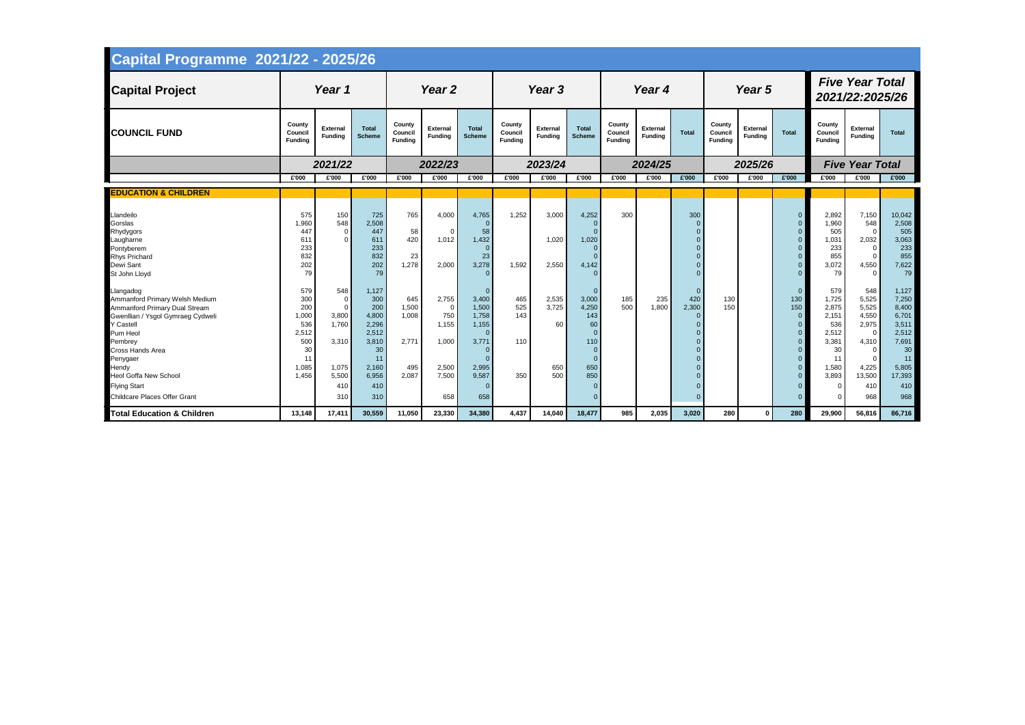| <b>Capital Programme 2021/22 - 2025/26</b>                                                                                                                                                                                                                                                                 |                                                                                 |                                                                                           |                                                                                                     |                                                |                                                                     |                                                                                                   |                                     |                                    |                                                                                                              |                                     |                                   |                          |                                     |                                   |                                                                |                                                                                       |                                                                                                                                   |                                                                                                          |  |
|------------------------------------------------------------------------------------------------------------------------------------------------------------------------------------------------------------------------------------------------------------------------------------------------------------|---------------------------------------------------------------------------------|-------------------------------------------------------------------------------------------|-----------------------------------------------------------------------------------------------------|------------------------------------------------|---------------------------------------------------------------------|---------------------------------------------------------------------------------------------------|-------------------------------------|------------------------------------|--------------------------------------------------------------------------------------------------------------|-------------------------------------|-----------------------------------|--------------------------|-------------------------------------|-----------------------------------|----------------------------------------------------------------|---------------------------------------------------------------------------------------|-----------------------------------------------------------------------------------------------------------------------------------|----------------------------------------------------------------------------------------------------------|--|
| <b>Capital Project</b>                                                                                                                                                                                                                                                                                     |                                                                                 | Year 1                                                                                    |                                                                                                     | Year <sub>2</sub>                              |                                                                     |                                                                                                   | Year <sub>3</sub>                   |                                    |                                                                                                              |                                     | Year 4                            |                          |                                     | Year 5                            |                                                                | <b>Five Year Total</b><br>2021/22:2025/26                                             |                                                                                                                                   |                                                                                                          |  |
| <b>COUNCIL FUND</b>                                                                                                                                                                                                                                                                                        | County<br>Council<br><b>Funding</b>                                             | <b>External</b><br><b>Funding</b>                                                         | <b>Total</b><br><b>Scheme</b>                                                                       | County<br>Council<br><b>Funding</b>            | <b>External</b><br><b>Funding</b>                                   | <b>Total</b><br><b>Scheme</b>                                                                     | County<br>Council<br><b>Funding</b> | <b>External</b><br><b>Funding</b>  | <b>Total</b><br><b>Scheme</b>                                                                                | County<br>Council<br><b>Funding</b> | <b>External</b><br><b>Funding</b> | <b>Total</b>             | County<br>Council<br><b>Funding</b> | <b>External</b><br><b>Funding</b> | <b>Total</b>                                                   | County<br>Council<br><b>Funding</b>                                                   | <b>External</b><br><b>Funding</b>                                                                                                 | <b>Total</b>                                                                                             |  |
|                                                                                                                                                                                                                                                                                                            |                                                                                 | 2021/22                                                                                   |                                                                                                     |                                                | 2022/23                                                             |                                                                                                   |                                     | 2023/24                            |                                                                                                              |                                     | 2024/25                           |                          |                                     | 2025/26                           |                                                                |                                                                                       | <b>Five Year Total</b>                                                                                                            |                                                                                                          |  |
|                                                                                                                                                                                                                                                                                                            | £'000                                                                           | £'000                                                                                     | £'000                                                                                               | £'000                                          | £'000                                                               | £'000                                                                                             | £'000                               | £'000                              | £'000                                                                                                        | £'000                               | £'000                             | £'000                    | £'000                               | £'000                             | £'000                                                          | £'000                                                                                 | £'000                                                                                                                             | £'000                                                                                                    |  |
| <b>EDUCATION &amp; CHILDREN</b>                                                                                                                                                                                                                                                                            |                                                                                 |                                                                                           |                                                                                                     |                                                |                                                                     |                                                                                                   |                                     |                                    |                                                                                                              |                                     |                                   |                          |                                     |                                   |                                                                |                                                                                       |                                                                                                                                   |                                                                                                          |  |
|                                                                                                                                                                                                                                                                                                            |                                                                                 |                                                                                           |                                                                                                     |                                                |                                                                     |                                                                                                   |                                     |                                    |                                                                                                              |                                     |                                   |                          |                                     |                                   |                                                                |                                                                                       |                                                                                                                                   |                                                                                                          |  |
| Llandeilo<br>Gorslas<br>Rhydygors<br>Laugharne<br>Pontyberem<br><b>Rhys Prichard</b><br>Dewi Sant<br>St John Lloyd                                                                                                                                                                                         | 575<br>1,960<br>447<br>61 <sup>°</sup><br>233<br>832<br>202<br>79               | 150<br>548<br>$\mathbf 0$<br>$\Omega$                                                     | 725<br>2,508<br>447<br>611<br>233<br>832<br>202<br>79                                               | 765<br>58<br>420<br>23<br>1,278                | 4,000<br>$\Omega$<br>1,012<br>2,000                                 | 4,765<br>$\overline{0}$<br>58<br>1,432<br>$\overline{0}$<br>23<br>3,278                           | 1,252<br>1,592                      | 3,000<br>1,020<br>2,550            | 4,252<br>$\Omega$<br>$\Omega$<br>1,020<br>$\Omega$<br>$\Omega$<br>4,142<br>$\Omega$                          | 300                                 |                                   | 300<br>$\Omega$          |                                     |                                   | $\Omega$                                                       | 2,892<br>1,960<br>505<br>1,031<br>233<br>855<br>3,072<br>79                           | 7,150<br>548<br>$\mathbf 0$<br>2,032<br>$\overline{0}$<br>$\mathbf{0}$<br>4,550<br>$\Omega$                                       | 10,042<br>2,508<br>505<br>3,063<br>233<br>855<br>7,622<br>79                                             |  |
| Llangadog<br>Ammanford Primary Welsh Medium<br>Ammanford Primary Dual Stream<br>Gwenllian / Ysgol Gymraeg Cydweli<br><b>Y Castell</b><br>Pum Heol<br>Pembrey<br><b>Cross Hands Area</b><br>Penygaer<br>Hendy<br><b>Heol Goffa New School</b><br><b>Flying Start</b><br><b>Childcare Places Offer Grant</b> | 579<br>300<br>200<br>1,000<br>536<br>2,512<br>500<br>30<br>11<br>1,085<br>1,456 | 548<br>$\mathbf 0$<br>$\Omega$<br>3,800<br>1,760<br>3,310<br>1,075<br>5,500<br>410<br>310 | 1,127<br>300<br>200<br>4,800<br>2,296<br>2,512<br>3,810<br>30<br>11<br>2,160<br>6,956<br>410<br>310 | 645<br>1,500<br>1,008<br>2,771<br>495<br>2,087 | 2,755<br>$\Omega$<br>750<br>1,155<br>1,000<br>2,500<br>7,500<br>658 | 3,400<br>1,500<br>1,758<br>1,155<br>$\Omega$<br>3,771<br>- 0<br>2,995<br>9,587<br>$\Omega$<br>658 | 465<br>525<br>143<br>110<br>350     | 2,535<br>3,725<br>60<br>650<br>500 | 3,000<br>4,250<br>143<br>60<br>$\Omega$<br>110<br>$\Omega$<br>$\Omega$<br>650<br>850<br>$\Omega$<br>$\Omega$ | 185<br>500                          | 235<br>1,800                      | 420<br>2,300<br>$\Omega$ | 130<br>150                          |                                   | $\mathbf{0}$<br>130<br>150<br>$\Omega$<br>$\Omega$<br>$\Omega$ | 579<br>1,725<br>2,875<br>2,151<br>536<br>2,512<br>3,381<br>30<br>11<br>1,580<br>3,893 | 548<br>5,525<br>5,525<br>4,550<br>2,975<br>$\overline{0}$<br>4,310<br>$\mathbf 0$<br>$\mathbf 0$<br>4,225<br>13,500<br>410<br>968 | 1,127<br>7,250<br>8,400<br>6,701<br>3,511<br>2,512<br>7,691<br>30<br>11<br>5,805<br>17,393<br>410<br>968 |  |
| <b>Total Education &amp; Children</b>                                                                                                                                                                                                                                                                      | 13,148                                                                          | 17,411                                                                                    | 30,559                                                                                              | 11,050                                         | 23,330                                                              | 34,380                                                                                            | 4,437                               | 14,040                             | 18,477                                                                                                       | 985                                 | 2,035                             | 3,020                    | 280                                 | $\mathbf{0}$                      | 280                                                            | 29,900                                                                                | 56,816                                                                                                                            | 86,716                                                                                                   |  |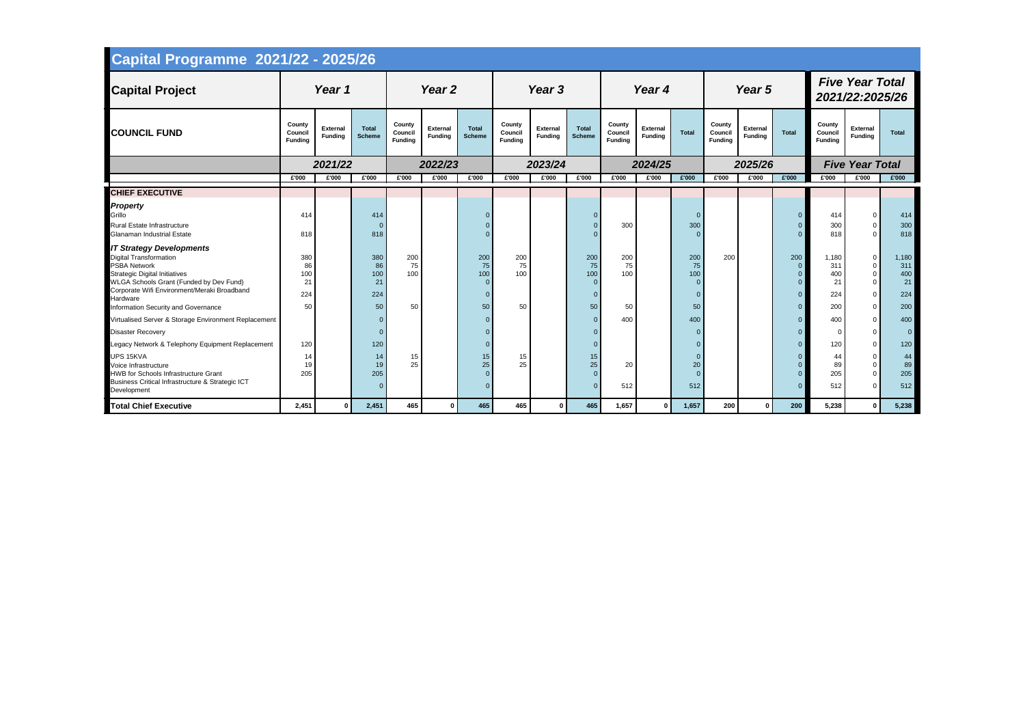| <b>Capital Programme 2021/22 - 2025/26</b>                                                                                                                                                                                                                                   |                                     |                                   |                                     |                                     |                                   |                               |                                     |                                   |                                                |                                     |                                   |                                    |                                     |                                   |                             |                                           |                                                                                               |                                         |  |
|------------------------------------------------------------------------------------------------------------------------------------------------------------------------------------------------------------------------------------------------------------------------------|-------------------------------------|-----------------------------------|-------------------------------------|-------------------------------------|-----------------------------------|-------------------------------|-------------------------------------|-----------------------------------|------------------------------------------------|-------------------------------------|-----------------------------------|------------------------------------|-------------------------------------|-----------------------------------|-----------------------------|-------------------------------------------|-----------------------------------------------------------------------------------------------|-----------------------------------------|--|
| <b>Capital Project</b>                                                                                                                                                                                                                                                       |                                     | Year 1                            |                                     | Year 2                              |                                   |                               |                                     | Year 3                            |                                                |                                     | Year 4                            |                                    |                                     | Year 5                            |                             | <b>Five Year Total</b><br>2021/22:2025/26 |                                                                                               |                                         |  |
| <b>COUNCIL FUND</b>                                                                                                                                                                                                                                                          | County<br>Council<br><b>Funding</b> | <b>External</b><br><b>Funding</b> | <b>Total</b><br><b>Scheme</b>       | County<br>Council<br><b>Funding</b> | <b>External</b><br><b>Funding</b> | <b>Total</b><br><b>Scheme</b> | County<br>Council<br><b>Fundina</b> | <b>External</b><br><b>Funding</b> | <b>Total</b><br><b>Scheme</b>                  | County<br>Council<br><b>Funding</b> | <b>External</b><br><b>Funding</b> | <b>Total</b>                       | County<br>Council<br><b>Funding</b> | <b>External</b><br><b>Funding</b> | <b>Total</b>                | County<br>Council<br><b>Funding</b>       | <b>External</b><br><b>Funding</b>                                                             | <b>Total</b>                            |  |
|                                                                                                                                                                                                                                                                              |                                     | 2021/22                           |                                     |                                     | 2022/23                           |                               |                                     | 2023/24                           |                                                |                                     | 2024/25                           |                                    |                                     | 2025/26                           |                             |                                           | <b>Five Year Total</b>                                                                        |                                         |  |
|                                                                                                                                                                                                                                                                              | £'000                               | £'000                             | £'000                               | £'000                               | £'000                             | £'000                         | £'000                               | £'000                             | £'000                                          | £'000                               | £'000                             | £'000                              | £'000                               | £'000                             | £'000                       | £'000                                     | £'000                                                                                         | £'000                                   |  |
| <b>CHIEF EXECUTIVE</b>                                                                                                                                                                                                                                                       |                                     |                                   |                                     |                                     |                                   |                               |                                     |                                   |                                                |                                     |                                   |                                    |                                     |                                   |                             |                                           |                                                                                               |                                         |  |
| <b>Property</b><br>Grillo<br><b>Rural Estate Infrastructure</b><br><b>Glanaman Industrial Estate</b>                                                                                                                                                                         | 414<br>818                          |                                   | 414<br>818                          |                                     |                                   |                               |                                     |                                   | $\Omega$                                       | 300                                 |                                   | 300                                |                                     |                                   |                             | 414<br>300<br>818                         | $\mathbf{0}$<br>$\mathbf{0}$<br>$\Omega$                                                      | 414<br>300<br>818                       |  |
| <b>IT Strategy Developments</b><br><b>Digital Transformation</b><br><b>PSBA Network</b><br><b>Strategic Digital Initiatives</b><br>WLGA Schools Grant (Funded by Dev Fund)<br>Corporate Wifi Environment/Meraki Broadband<br>Hardware<br>Information Security and Governance | 380<br>86<br>100<br>21<br>224<br>50 |                                   | 380<br>86<br>100<br>21<br>224<br>50 | 200<br>75<br>100<br>50              |                                   | 200<br>75<br>100<br>50        | 200<br>75<br>100<br>50              |                                   | 200<br>75<br>100<br>$\Omega$<br>$\Omega$<br>50 | 200<br>75<br>100<br>50              |                                   | 200<br>75<br>100<br>$\Omega$<br>50 | 200                                 |                                   | 200<br>$\Omega$<br>$\Omega$ | 1,180<br>311<br>400<br>21<br>224<br>200   | $\mathbf 0$<br>$\mathbf{0}$<br>$\mathbf 0$<br>$\mathbf 0$<br>$\overline{0}$<br>$\overline{0}$ | 1,180<br>311<br>400<br>21<br>224<br>200 |  |
| Virtualised Server & Storage Environment Replacement                                                                                                                                                                                                                         |                                     |                                   |                                     |                                     |                                   |                               |                                     |                                   | $\Omega$                                       | 400                                 |                                   | 400                                |                                     |                                   |                             | 400                                       | $\Omega$                                                                                      | 400                                     |  |
| <b>Disaster Recovery</b>                                                                                                                                                                                                                                                     |                                     |                                   |                                     |                                     |                                   |                               |                                     |                                   | $\Omega$                                       |                                     |                                   |                                    |                                     |                                   |                             |                                           | $\mathbf 0$                                                                                   | $\overline{0}$                          |  |
| Legacy Network & Telephony Equipment Replacement                                                                                                                                                                                                                             | 120                                 |                                   | 120                                 |                                     |                                   |                               |                                     |                                   | $\Omega$                                       |                                     |                                   |                                    |                                     |                                   | $\Omega$                    | 120                                       | $\mathbf 0$                                                                                   | 120                                     |  |
| UPS 15KVA<br>Voice Infrastructure<br><b>HWB</b> for Schools Infrastructure Grant<br>Business Critical Infrastructure & Strategic ICT<br>Development                                                                                                                          | 14<br>19<br>205                     |                                   | 14<br>19<br>205                     | 15<br>25                            |                                   | 15 <sub>1</sub><br>25         | 15<br>25                            |                                   | 15<br>25<br>$\Omega$<br>$\Omega$               | 20<br>512                           |                                   | 20<br>$\Omega$<br>512              |                                     |                                   |                             | 44<br>89<br>205<br>512                    | 0<br>$\mathbf 0$<br>$\Omega$<br>$\Omega$                                                      | 44<br>89<br>205<br>512                  |  |
| <b>Total Chief Executive</b>                                                                                                                                                                                                                                                 | 2,451                               | $\mathbf{0}$                      | 2,451                               | 465                                 | $\mathbf{0}$                      | 465                           | 465                                 | $\overline{0}$                    | 465                                            | 1,657                               | $\mathbf{0}$                      | 1,657                              | 200                                 | $\Omega$                          | 200                         | 5,238                                     | $\mathbf 0$                                                                                   | 5,238                                   |  |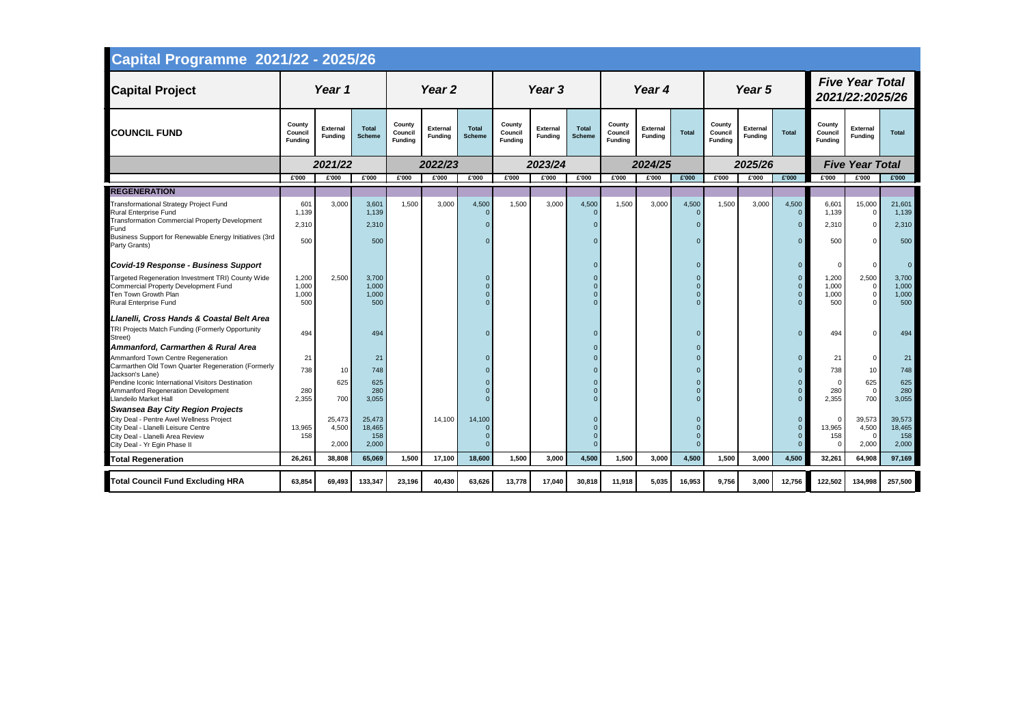| <b>Capital Programme 2021/22 - 2025/26</b>                                                                                                               |                                     |                                   |                                  |                                     |                                   |                               |                                     |                                   |                                  |                                     |                                   |                      |                                     |                                   |                      |                                     |                                                 |                                  |
|----------------------------------------------------------------------------------------------------------------------------------------------------------|-------------------------------------|-----------------------------------|----------------------------------|-------------------------------------|-----------------------------------|-------------------------------|-------------------------------------|-----------------------------------|----------------------------------|-------------------------------------|-----------------------------------|----------------------|-------------------------------------|-----------------------------------|----------------------|-------------------------------------|-------------------------------------------------|----------------------------------|
| <b>Capital Project</b>                                                                                                                                   |                                     | Year 1                            |                                  | Year <sub>2</sub>                   |                                   |                               |                                     | Year 3                            |                                  |                                     | Year 4                            |                      |                                     | Year 5                            |                      |                                     | <b>Five Year Total</b><br>2021/22:2025/26       |                                  |
| <b>COUNCIL FUND</b>                                                                                                                                      | County<br>Council<br><b>Funding</b> | <b>External</b><br><b>Funding</b> | <b>Total</b><br><b>Scheme</b>    | County<br>Council<br><b>Funding</b> | <b>External</b><br><b>Funding</b> | <b>Total</b><br><b>Scheme</b> | County<br>Council<br><b>Funding</b> | <b>External</b><br><b>Funding</b> | <b>Total</b><br><b>Scheme</b>    | County<br>Council<br><b>Funding</b> | <b>External</b><br><b>Funding</b> | <b>Total</b>         | County<br>Council<br><b>Funding</b> | <b>External</b><br><b>Funding</b> | <b>Total</b>         | County<br>Council<br><b>Funding</b> | <b>External</b><br><b>Funding</b>               | <b>Total</b>                     |
|                                                                                                                                                          |                                     | 2021/22                           |                                  |                                     | 2022/23                           |                               |                                     | 2023/24                           |                                  |                                     | 2024/25                           |                      |                                     | 2025/26                           |                      |                                     | <b>Five Year Total</b>                          |                                  |
|                                                                                                                                                          | £'000                               | £'000                             | £'000                            | £'000                               | £'000                             | £'000                         | £'000                               | £'000                             | £'000                            | £'000                               | £'000                             | £'000                | £'000                               | £'000                             | £'000                | £'000                               | £'000                                           | £'000                            |
| <b>REGENERATION</b>                                                                                                                                      |                                     |                                   |                                  |                                     |                                   |                               |                                     |                                   |                                  |                                     |                                   |                      |                                     |                                   |                      |                                     |                                                 |                                  |
| Transformational Strategy Project Fund<br>Rural Enterprise Fund<br>Transformation Commercial Property Development<br>Fund                                | 601<br>1,139<br>2,310               | 3,000                             | 3,601<br>1,139<br>2,310          | 1,500                               | 3,000                             | 4,500<br>$\Omega$             | 1,500                               | 3,000                             | 4,500<br>$\Omega$<br>$\Omega$    | 1,500                               | 3,000                             | 4,500                | 1,500                               | 3,000                             | 4,500<br>$\Omega$    | 6,601<br>1,139<br>2,310             | 15,000<br>0<br>$\mathbf 0$                      | 21,601<br>1,139<br>2,310         |
| Business Support for Renewable Energy Initiatives (3rd<br>Party Grants)                                                                                  | 500                                 |                                   | 500                              |                                     |                                   |                               |                                     |                                   | $\Omega$                         |                                     |                                   |                      |                                     |                                   | $\Omega$             | 500                                 | $\Omega$                                        | 500                              |
| <b>Covid-19 Response - Business Support</b>                                                                                                              |                                     |                                   |                                  |                                     |                                   |                               |                                     |                                   | $\Omega$                         |                                     |                                   |                      |                                     |                                   | $\Omega$             |                                     | $\mathbf 0$                                     | $\overline{0}$                   |
| Targeted Regeneration Investment TRI) County Wide<br><b>Commercial Property Development Fund</b><br>Ten Town Growth Plan<br><b>Rural Enterprise Fund</b> | 1,200<br>1,000<br>1,000<br>500      | 2,500                             | 3,700<br>1,000<br>1,000<br>500   |                                     |                                   |                               |                                     |                                   | $\Omega$<br>$\Omega$<br>$\Omega$ |                                     |                                   | $\Omega$             |                                     |                                   | $\Omega$<br>$\Omega$ | 1,200<br>1,000<br>1,000<br>500      | 2,500<br>$\mathbf 0$<br>$\mathbf 0$<br>$\Omega$ | 3,700<br>1,000<br>1,000<br>500   |
| Llanelli, Cross Hands & Coastal Belt Area                                                                                                                |                                     |                                   |                                  |                                     |                                   |                               |                                     |                                   |                                  |                                     |                                   |                      |                                     |                                   |                      |                                     |                                                 |                                  |
| TRI Projects Match Funding (Formerly Opportunity<br>Street)                                                                                              | 494                                 |                                   | 494                              |                                     |                                   |                               |                                     |                                   |                                  |                                     |                                   | $\Omega$             |                                     |                                   | $\Omega$             | 494                                 | $\mathbf 0$                                     | 494                              |
| Ammanford, Carmarthen & Rural Area                                                                                                                       |                                     |                                   |                                  |                                     |                                   |                               |                                     |                                   | $\Omega$<br>$\Omega$             |                                     |                                   |                      |                                     |                                   | $\Omega$             |                                     |                                                 |                                  |
| Ammanford Town Centre Regeneration<br>Carmarthen Old Town Quarter Regeneration (Formerly                                                                 | 21<br>738                           | 10                                | 21<br>748                        |                                     |                                   |                               |                                     |                                   | $\Omega$                         |                                     |                                   |                      |                                     |                                   |                      | 21<br>738                           | $\mathbf 0$<br>10                               | 21<br>748                        |
| Jackson's Lane)<br>Pendine Iconic International Visitors Destination<br>Ammanford Regeneration Development<br>Llandeilo Market Hall                      | 280<br>2,355                        | 625<br>700                        | 625<br>280<br>3,055              |                                     |                                   |                               |                                     |                                   | $\Omega$<br>$\Omega$<br>$\Omega$ |                                     |                                   |                      |                                     |                                   |                      | 280<br>2,355                        | 625<br>$\overline{0}$<br>700                    | 625<br>280<br>3,055              |
| <b>Swansea Bay City Region Projects</b>                                                                                                                  |                                     |                                   |                                  |                                     |                                   |                               |                                     |                                   |                                  |                                     |                                   |                      |                                     |                                   |                      |                                     |                                                 |                                  |
| City Deal - Pentre Awel Wellness Project<br>City Deal - Llanelli Leisure Centre<br>City Deal - Llanelli Area Review<br>City Deal - Yr Egin Phase II      | 13,965<br>158                       | 25,473<br>4,500<br>2,000          | 25,473<br>18,465<br>158<br>2,000 |                                     | 14,100                            | 14,100                        |                                     |                                   | $\Omega$<br>$\Omega$<br>$\Omega$ |                                     |                                   | $\Omega$<br>$\Omega$ |                                     |                                   | $\Omega$             | 13,965<br>158<br>$\Omega$           | 39,573<br>4,500<br>$\Omega$<br>2,000            | 39,573<br>18,465<br>158<br>2,000 |
| <b>Total Regeneration</b>                                                                                                                                | 26,261                              | 38,808                            | 65,069                           | 1,500                               | 17,100                            | 18,600                        | 1,500                               | 3,000                             | 4,500                            | 1,500                               | 3,000                             | 4,500                | 1,500                               | 3,000                             | 4,500                | 32,261                              | 64,908                                          | 97,169                           |
| <b>Total Council Fund Excluding HRA</b>                                                                                                                  | 63,854                              | 69,493                            | 133,347                          | 23,196                              | 40,430                            | 63,626                        | 13,778                              | 17,040                            | 30,818                           | 11,918                              | 5,035                             | 16,953               | 9,756                               | 3,000                             | 12,756               | 122,502                             | 134,998                                         | 257,500                          |

**The Contract of Street**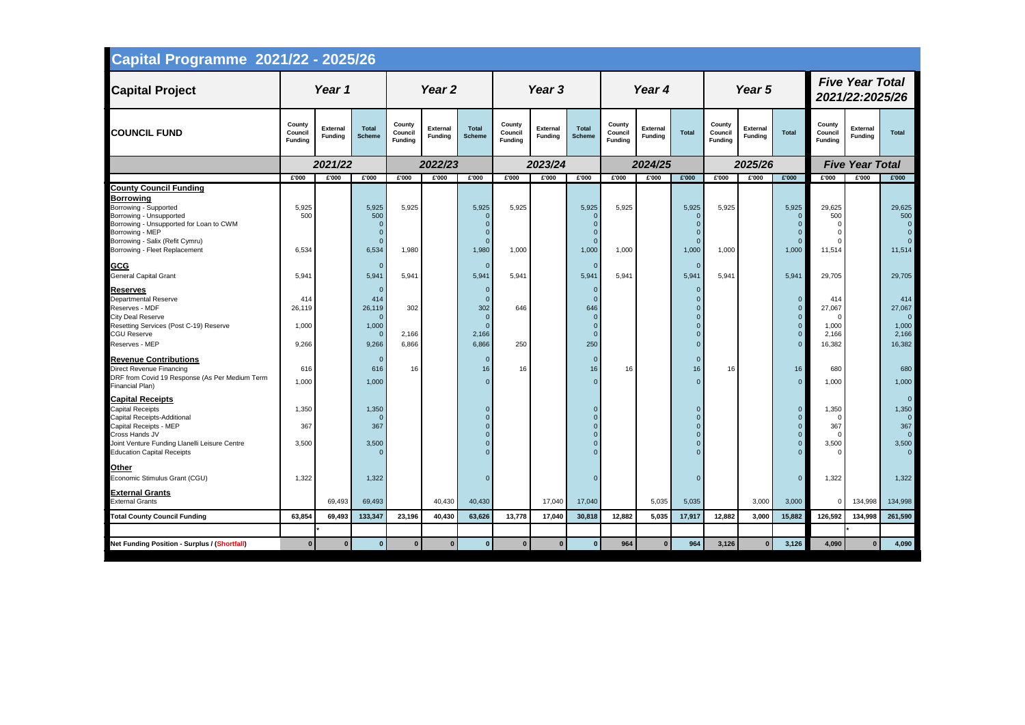| <b>Five Year Total</b><br>Year <sub>2</sub><br>Year 4<br>Year 5<br>Year 1<br>Year 3<br><b>Capital Project</b><br>2021/22:2025/26<br>County<br>County<br>County<br>County<br>County<br>County<br><b>External</b><br><b>Total</b><br><b>External</b><br><b>Total</b><br><b>External</b><br><b>Total</b><br><b>External</b><br><b>External</b><br><b>External</b><br><b>COUNCIL FUND</b><br><b>Total</b><br>Council<br><b>Total</b><br><b>Total</b><br>Council<br>Council<br>Council<br>Council<br>Council<br><b>Funding</b><br><b>Scheme</b><br><b>Funding</b><br><b>Scheme</b><br><b>Funding</b><br><b>Scheme</b><br><b>Funding</b><br><b>Funding</b><br><b>Funding</b><br><b>Funding</b><br><b>Funding</b><br><b>Funding</b><br><b>Funding</b><br><b>Funding</b><br><b>Funding</b><br><b>Five Year Total</b><br>2021/22<br>2022/23<br>2023/24<br>2024/25<br>2025/26<br>£'000<br>£'000<br>£'000<br>£'000<br>£'000<br>£'000<br>£'000<br>£'000<br>£'000<br>£'000<br>£'000<br>£'000<br>£'000<br>£'000<br>£'000<br>£'000<br>£'000<br>£'000<br><b>County Council Funding</b><br><b>Borrowing</b><br>5,925<br>5,925<br>5,925<br>5,925<br>5,925<br>5,925<br>5,925<br>5,925<br>5,925<br>5,925<br>29,625<br>Borrowing - Supported<br>Borrowing - Unsupported<br>500<br>500<br>500<br>$\overline{0}$<br>$\Omega$<br>$\Omega$<br>$\Omega$<br>Borrowing - Unsupported for Loan to CWM<br>$\Omega$<br>$\Omega$<br>Borrowing - MEP<br>$\mathbf{0}$<br>$\Omega$<br>$\Omega$<br>Borrowing - Salix (Refit Cymru)<br>$\overline{0}$<br>$\Omega$<br>$\Omega$<br>6,534<br>1,980<br>1,000<br>1,000<br>11,514<br>Borrowing - Fleet Replacement<br>6,534<br>1,980<br>1,000<br>1,000<br>1,000<br>1,000<br>11,514<br><b>GCG</b><br>$\Omega$<br>$\overline{0}$<br>$\Omega$<br>$\Omega$<br><b>General Capital Grant</b><br>5,941<br>5,941<br>5,941<br>5,941<br>5,941<br>5,941<br>5,941<br>5,941<br>5,941<br>5,941<br>29,705<br><b>Reserves</b><br>$\overline{0}$<br>$\Omega$<br>$\mathbf{0}$<br>0<br><b>Departmental Reserve</b><br>$\Omega$<br>414<br>414<br>$\Omega$<br>$\Omega$<br>414<br>$\overline{0}$<br>302<br>646<br>27,067<br>Reserves - MDF<br>26,119<br>26,119<br>302<br>646<br>$\Omega$<br>$\overline{0}$<br><b>City Deal Reserve</b><br>$\overline{0}$<br>$\Omega$<br>$\Omega$<br>Resetting Services (Post C-19) Reserve<br>1,000<br>1,000<br>1,000<br>$\Omega$<br>$\Omega$<br>$\overline{0}$<br>$\Omega$<br><b>CGU Reserve</b><br>2,166<br>2,166<br>$\Omega$<br>2,166<br>$\Omega$<br>$\Omega$<br>9,266<br>9,266<br>6,866<br>6,866<br>250<br>250<br>16,382<br>16,382<br>Reserves - MEP<br>$\Omega$<br><b>Revenue Contributions</b><br>$\Omega$<br>$\overline{0}$<br>$\mathbf 0$<br>0<br>Direct Revenue Financing<br>16<br>16<br>16<br>16<br>16<br>16<br>16<br>680<br>616<br>616<br>16<br>DRF from Covid 19 Response (As Per Medium Term<br>$\Omega$<br>1,000<br>1,000<br>1,000<br>$\Omega$<br>$\Omega$<br>$\overline{0}$<br>Financial Plan)<br><b>Capital Receipts</b><br><b>Capital Receipts</b><br>1,350<br>1,350<br>1,350<br>$\overline{0}$<br>$\Omega$<br>Capital Receipts-Additional<br>$\Omega$<br>367<br>367<br><b>Capital Receipts - MEP</b><br>367<br>$\Omega$<br>$\overline{0}$<br>Cross Hands JV<br>$\mathbf{0}$<br>$\overline{0}$<br>$\Omega$<br>$\Omega$<br>Joint Venture Funding Llanelli Leisure Centre<br>3,500<br>3,500<br>3,500<br>$\mathbf 0$<br>$\mathbf 0$<br>$\overline{0}$<br><b>Education Capital Receipts</b><br>$\Omega$<br>$\Omega$<br>$\Omega$<br>$\Omega$<br><b>Other</b><br>Economic Stimulus Grant (CGU)<br>1,322<br>1,322<br>1,322<br>$\Omega$<br>$\Omega$<br>$\mathbf 0$<br>$\overline{0}$<br><b>External Grants</b><br><b>External Grants</b><br>69,493<br>40,430<br>40,430<br>17,040<br>17,040<br>5,035<br>5,035<br>3,000<br>134,998<br>69,493<br>3,000<br>$\Omega$<br>69,493<br>12,882<br>126,592<br>134,998<br><b>Total County Council Funding</b><br>63,854<br>133,347<br>23,196<br>40,430<br>63,626<br>13,778<br>17,040<br>30,818<br>12,882<br>5,035<br>17,917<br>3,000<br>15,882 | <b>Capital Programme 2021/22 - 2025/26</b>          |              |          |              |          |  |              |             |                |              |     |             |     |       |       |       |   |                                                                                               |
|-----------------------------------------------------------------------------------------------------------------------------------------------------------------------------------------------------------------------------------------------------------------------------------------------------------------------------------------------------------------------------------------------------------------------------------------------------------------------------------------------------------------------------------------------------------------------------------------------------------------------------------------------------------------------------------------------------------------------------------------------------------------------------------------------------------------------------------------------------------------------------------------------------------------------------------------------------------------------------------------------------------------------------------------------------------------------------------------------------------------------------------------------------------------------------------------------------------------------------------------------------------------------------------------------------------------------------------------------------------------------------------------------------------------------------------------------------------------------------------------------------------------------------------------------------------------------------------------------------------------------------------------------------------------------------------------------------------------------------------------------------------------------------------------------------------------------------------------------------------------------------------------------------------------------------------------------------------------------------------------------------------------------------------------------------------------------------------------------------------------------------------------------------------------------------------------------------------------------------------------------------------------------------------------------------------------------------------------------------------------------------------------------------------------------------------------------------------------------------------------------------------------------------------------------------------------------------------------------------------------------------------------------------------------------------------------------------------------------------------------------------------------------------------------------------------------------------------------------------------------------------------------------------------------------------------------------------------------------------------------------------------------------------------------------------------------------------------------------------------------------------------------------------------------------------------------------------------------------------------------------------------------------------------------------------------------------------------------------------------------------------------------------------------------------------------------------------------------------------------------------------------------------------------------------------------------------------------------------------------------------------------------------------------------------------------------------------------------------------------------------------------------------------------------------------------------------------------------------------------------------------------------------------------------------------------------------------------------------------------------------------------|-----------------------------------------------------|--------------|----------|--------------|----------|--|--------------|-------------|----------------|--------------|-----|-------------|-----|-------|-------|-------|---|-----------------------------------------------------------------------------------------------|
|                                                                                                                                                                                                                                                                                                                                                                                                                                                                                                                                                                                                                                                                                                                                                                                                                                                                                                                                                                                                                                                                                                                                                                                                                                                                                                                                                                                                                                                                                                                                                                                                                                                                                                                                                                                                                                                                                                                                                                                                                                                                                                                                                                                                                                                                                                                                                                                                                                                                                                                                                                                                                                                                                                                                                                                                                                                                                                                                                                                                                                                                                                                                                                                                                                                                                                                                                                                                                                                                                                                                                                                                                                                                                                                                                                                                                                                                                                                                                                                                           |                                                     |              |          |              |          |  |              |             |                |              |     |             |     |       |       |       |   |                                                                                               |
|                                                                                                                                                                                                                                                                                                                                                                                                                                                                                                                                                                                                                                                                                                                                                                                                                                                                                                                                                                                                                                                                                                                                                                                                                                                                                                                                                                                                                                                                                                                                                                                                                                                                                                                                                                                                                                                                                                                                                                                                                                                                                                                                                                                                                                                                                                                                                                                                                                                                                                                                                                                                                                                                                                                                                                                                                                                                                                                                                                                                                                                                                                                                                                                                                                                                                                                                                                                                                                                                                                                                                                                                                                                                                                                                                                                                                                                                                                                                                                                                           |                                                     |              |          |              |          |  |              |             |                |              |     |             |     |       |       |       |   |                                                                                               |
|                                                                                                                                                                                                                                                                                                                                                                                                                                                                                                                                                                                                                                                                                                                                                                                                                                                                                                                                                                                                                                                                                                                                                                                                                                                                                                                                                                                                                                                                                                                                                                                                                                                                                                                                                                                                                                                                                                                                                                                                                                                                                                                                                                                                                                                                                                                                                                                                                                                                                                                                                                                                                                                                                                                                                                                                                                                                                                                                                                                                                                                                                                                                                                                                                                                                                                                                                                                                                                                                                                                                                                                                                                                                                                                                                                                                                                                                                                                                                                                                           |                                                     |              |          |              |          |  |              |             |                |              |     |             |     |       |       |       |   |                                                                                               |
|                                                                                                                                                                                                                                                                                                                                                                                                                                                                                                                                                                                                                                                                                                                                                                                                                                                                                                                                                                                                                                                                                                                                                                                                                                                                                                                                                                                                                                                                                                                                                                                                                                                                                                                                                                                                                                                                                                                                                                                                                                                                                                                                                                                                                                                                                                                                                                                                                                                                                                                                                                                                                                                                                                                                                                                                                                                                                                                                                                                                                                                                                                                                                                                                                                                                                                                                                                                                                                                                                                                                                                                                                                                                                                                                                                                                                                                                                                                                                                                                           |                                                     |              |          |              |          |  |              |             |                |              |     |             |     |       |       |       |   |                                                                                               |
|                                                                                                                                                                                                                                                                                                                                                                                                                                                                                                                                                                                                                                                                                                                                                                                                                                                                                                                                                                                                                                                                                                                                                                                                                                                                                                                                                                                                                                                                                                                                                                                                                                                                                                                                                                                                                                                                                                                                                                                                                                                                                                                                                                                                                                                                                                                                                                                                                                                                                                                                                                                                                                                                                                                                                                                                                                                                                                                                                                                                                                                                                                                                                                                                                                                                                                                                                                                                                                                                                                                                                                                                                                                                                                                                                                                                                                                                                                                                                                                                           |                                                     |              |          |              |          |  |              |             |                |              |     |             |     |       |       |       |   | 29,625<br>500<br>$\overline{0}$<br>$\overline{0}$                                             |
|                                                                                                                                                                                                                                                                                                                                                                                                                                                                                                                                                                                                                                                                                                                                                                                                                                                                                                                                                                                                                                                                                                                                                                                                                                                                                                                                                                                                                                                                                                                                                                                                                                                                                                                                                                                                                                                                                                                                                                                                                                                                                                                                                                                                                                                                                                                                                                                                                                                                                                                                                                                                                                                                                                                                                                                                                                                                                                                                                                                                                                                                                                                                                                                                                                                                                                                                                                                                                                                                                                                                                                                                                                                                                                                                                                                                                                                                                                                                                                                                           |                                                     |              |          |              |          |  |              |             |                |              |     |             |     |       |       |       |   | 29,705                                                                                        |
|                                                                                                                                                                                                                                                                                                                                                                                                                                                                                                                                                                                                                                                                                                                                                                                                                                                                                                                                                                                                                                                                                                                                                                                                                                                                                                                                                                                                                                                                                                                                                                                                                                                                                                                                                                                                                                                                                                                                                                                                                                                                                                                                                                                                                                                                                                                                                                                                                                                                                                                                                                                                                                                                                                                                                                                                                                                                                                                                                                                                                                                                                                                                                                                                                                                                                                                                                                                                                                                                                                                                                                                                                                                                                                                                                                                                                                                                                                                                                                                                           |                                                     |              |          |              |          |  |              |             |                |              |     |             |     |       |       |       |   | 414<br>27,067<br>$\overline{0}$<br>1,000<br>2,166                                             |
|                                                                                                                                                                                                                                                                                                                                                                                                                                                                                                                                                                                                                                                                                                                                                                                                                                                                                                                                                                                                                                                                                                                                                                                                                                                                                                                                                                                                                                                                                                                                                                                                                                                                                                                                                                                                                                                                                                                                                                                                                                                                                                                                                                                                                                                                                                                                                                                                                                                                                                                                                                                                                                                                                                                                                                                                                                                                                                                                                                                                                                                                                                                                                                                                                                                                                                                                                                                                                                                                                                                                                                                                                                                                                                                                                                                                                                                                                                                                                                                                           |                                                     |              |          |              |          |  |              |             |                |              |     |             |     |       |       |       |   | 680<br>1,000                                                                                  |
|                                                                                                                                                                                                                                                                                                                                                                                                                                                                                                                                                                                                                                                                                                                                                                                                                                                                                                                                                                                                                                                                                                                                                                                                                                                                                                                                                                                                                                                                                                                                                                                                                                                                                                                                                                                                                                                                                                                                                                                                                                                                                                                                                                                                                                                                                                                                                                                                                                                                                                                                                                                                                                                                                                                                                                                                                                                                                                                                                                                                                                                                                                                                                                                                                                                                                                                                                                                                                                                                                                                                                                                                                                                                                                                                                                                                                                                                                                                                                                                                           |                                                     |              |          |              |          |  |              |             |                |              |     |             |     |       |       |       |   | $\overline{0}$<br>1,350<br>$\overline{0}$<br>367<br>$\overline{0}$<br>3,500<br>$\overline{0}$ |
|                                                                                                                                                                                                                                                                                                                                                                                                                                                                                                                                                                                                                                                                                                                                                                                                                                                                                                                                                                                                                                                                                                                                                                                                                                                                                                                                                                                                                                                                                                                                                                                                                                                                                                                                                                                                                                                                                                                                                                                                                                                                                                                                                                                                                                                                                                                                                                                                                                                                                                                                                                                                                                                                                                                                                                                                                                                                                                                                                                                                                                                                                                                                                                                                                                                                                                                                                                                                                                                                                                                                                                                                                                                                                                                                                                                                                                                                                                                                                                                                           |                                                     |              |          |              |          |  |              |             |                |              |     |             |     |       |       |       |   | 1,322                                                                                         |
|                                                                                                                                                                                                                                                                                                                                                                                                                                                                                                                                                                                                                                                                                                                                                                                                                                                                                                                                                                                                                                                                                                                                                                                                                                                                                                                                                                                                                                                                                                                                                                                                                                                                                                                                                                                                                                                                                                                                                                                                                                                                                                                                                                                                                                                                                                                                                                                                                                                                                                                                                                                                                                                                                                                                                                                                                                                                                                                                                                                                                                                                                                                                                                                                                                                                                                                                                                                                                                                                                                                                                                                                                                                                                                                                                                                                                                                                                                                                                                                                           |                                                     |              |          |              |          |  |              |             |                |              |     |             |     |       |       |       |   | 134,998                                                                                       |
|                                                                                                                                                                                                                                                                                                                                                                                                                                                                                                                                                                                                                                                                                                                                                                                                                                                                                                                                                                                                                                                                                                                                                                                                                                                                                                                                                                                                                                                                                                                                                                                                                                                                                                                                                                                                                                                                                                                                                                                                                                                                                                                                                                                                                                                                                                                                                                                                                                                                                                                                                                                                                                                                                                                                                                                                                                                                                                                                                                                                                                                                                                                                                                                                                                                                                                                                                                                                                                                                                                                                                                                                                                                                                                                                                                                                                                                                                                                                                                                                           |                                                     |              |          |              |          |  |              |             |                |              |     |             |     |       |       |       |   | 261,590                                                                                       |
| $\overline{0}$                                                                                                                                                                                                                                                                                                                                                                                                                                                                                                                                                                                                                                                                                                                                                                                                                                                                                                                                                                                                                                                                                                                                                                                                                                                                                                                                                                                                                                                                                                                                                                                                                                                                                                                                                                                                                                                                                                                                                                                                                                                                                                                                                                                                                                                                                                                                                                                                                                                                                                                                                                                                                                                                                                                                                                                                                                                                                                                                                                                                                                                                                                                                                                                                                                                                                                                                                                                                                                                                                                                                                                                                                                                                                                                                                                                                                                                                                                                                                                                            | <b>Net Funding Position - Surplus / (Shortfall)</b> | $\mathbf{0}$ | $\bf{0}$ | $\mathbf{0}$ | $\bf{0}$ |  | $\mathbf{0}$ | $\mathbf 0$ | $\overline{0}$ | $\mathbf{0}$ | 964 | $\mathbf 0$ | 964 | 3,126 | 3,126 | 4,090 | 0 | 4,090                                                                                         |